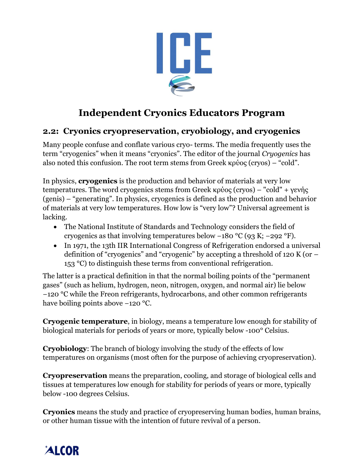

## **Independent Cryonics Educators Program**

## **2.2: Cryonics cryopreservation, cryobiology, and cryogenics**

Many people confuse and conflate various cryo- terms. The media frequently uses the term "cryogenics" when it means "cryonics". The editor of the journal *Cryogenics* has also noted this confusion. The root term stems from Greek κρύος (cryos) – "cold".

In physics, **cryogenics** is the production and behavior of materials at very low temperatures. The word cryogenics stems from Greek κρύος (cryos) – "cold" + γενής (genis) – "generating". In physics, cryogenics is defined as the production and behavior of materials at very low temperatures. How low is "very low"? Universal agreement is lacking.

- The National Institute of Standards and Technology considers the field of cryogenics as that involving temperatures below −180 °C (93 K; −292 °F).
- In 1971, the 13th IIR International Congress of Refrigeration endorsed a universal definition of "cryogenics" and "cryogenic" by accepting a threshold of 120 K (or – 153 °C) to distinguish these terms from conventional refrigeration.

The latter is a practical definition in that the normal boiling points of the "permanent gases" (such as helium, hydrogen, neon, nitrogen, oxygen, and normal air) lie below −120 °C while the Freon refrigerants, hydrocarbons, and other common refrigerants have boiling points above −120 °C.

**Cryogenic temperature**, in biology, means a temperature low enough for stability of biological materials for periods of years or more, typically below -100° Celsius.

**Cryobiology**: The branch of biology involving the study of the effects of low temperatures on organisms (most often for the purpose of achieving cryopreservation).

**Cryopreservation** means the preparation, cooling, and storage of biological cells and tissues at temperatures low enough for stability for periods of years or more, typically below -100 degrees Celsius.

**Cryonics** means the study and practice of cryopreserving human bodies, human brains, or other human tissue with the intention of future revival of a person.